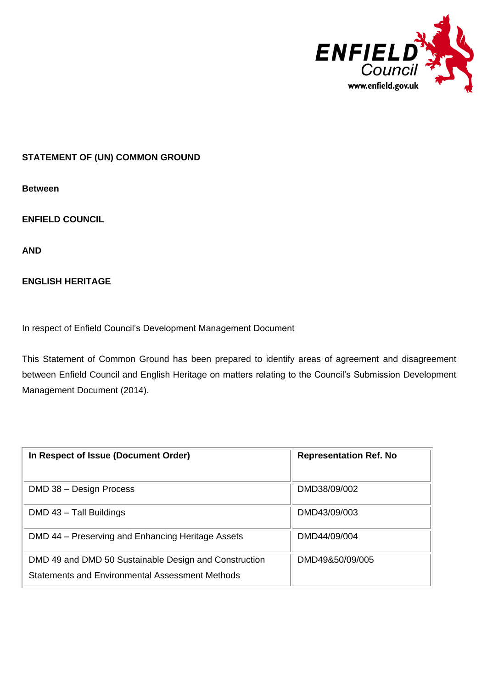

## **STATEMENT OF (UN) COMMON GROUND**

**Between**

**ENFIELD COUNCIL** 

**AND**

## **ENGLISH HERITAGE**

In respect of Enfield Council's Development Management Document

This Statement of Common Ground has been prepared to identify areas of agreement and disagreement between Enfield Council and English Heritage on matters relating to the Council's Submission Development Management Document (2014).

| In Respect of Issue (Document Order)                                                                     | <b>Representation Ref. No</b> |
|----------------------------------------------------------------------------------------------------------|-------------------------------|
| DMD 38 - Design Process                                                                                  | DMD38/09/002                  |
| DMD 43 - Tall Buildings                                                                                  | DMD43/09/003                  |
| DMD 44 – Preserving and Enhancing Heritage Assets                                                        | DMD44/09/004                  |
| DMD 49 and DMD 50 Sustainable Design and Construction<br>Statements and Environmental Assessment Methods | DMD49&50/09/005               |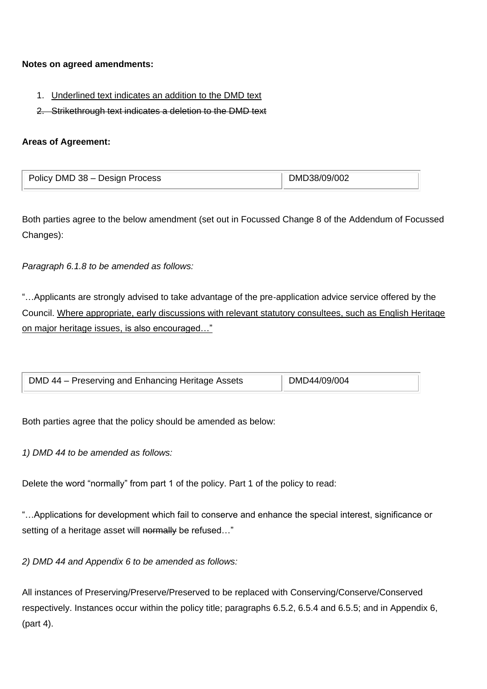#### **Notes on agreed amendments:**

- 1. Underlined text indicates an addition to the DMD text
- 2. Strikethrough text indicates a deletion to the DMD text

# **Areas of Agreement:**

| Policy DMD 38 - Design Process | DMD38/09/002 |
|--------------------------------|--------------|
|                                |              |

Both parties agree to the below amendment (set out in Focussed Change 8 of the Addendum of Focussed Changes):

*Paragraph 6.1.8 to be amended as follows:*

"…Applicants are strongly advised to take advantage of the pre‐application advice service offered by the Council. Where appropriate, early discussions with relevant statutory consultees, such as English Heritage on major heritage issues, is also encouraged…"

| DMD 44 - Preserving and Enhancing Heritage Assets | DMD44/09/004 |
|---------------------------------------------------|--------------|

Both parties agree that the policy should be amended as below:

*1) DMD 44 to be amended as follows:*

Delete the word "normally" from part 1 of the policy. Part 1 of the policy to read:

"…Applications for development which fail to conserve and enhance the special interest, significance or setting of a heritage asset will normally be refused..."

*2) DMD 44 and Appendix 6 to be amended as follows:*

All instances of Preserving/Preserve/Preserved to be replaced with Conserving/Conserve/Conserved respectively. Instances occur within the policy title; paragraphs 6.5.2, 6.5.4 and 6.5.5; and in Appendix 6, (part 4).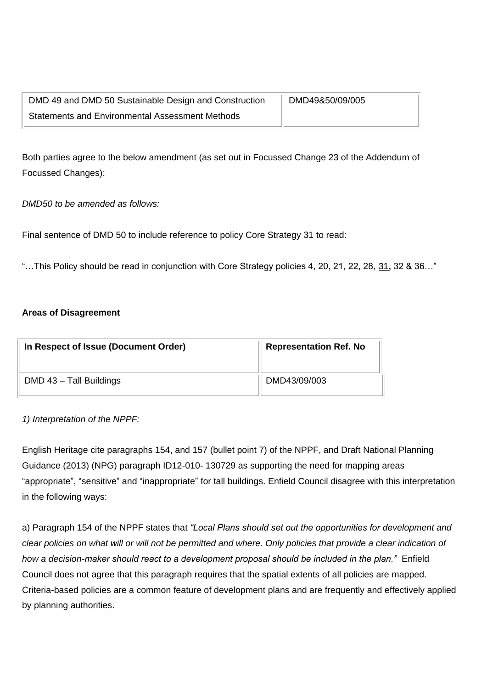| DMD 49 and DMD 50 Sustainable Design and Construction  | DMD49&50/09/005 |
|--------------------------------------------------------|-----------------|
| <b>Statements and Environmental Assessment Methods</b> |                 |

Both parties agree to the below amendment (as set out in Focussed Change 23 of the Addendum of Focussed Changes):

*DMD50 to be amended as follows:*

Final sentence of DMD 50 to include reference to policy Core Strategy 31 to read:

"…This Policy should be read in conjunction with Core Strategy policies 4, 20, 21, 22, 28, 31**,** 32 & 36…"

#### **Areas of Disagreement**

| In Respect of Issue (Document Order) | <b>Representation Ref. No</b> |
|--------------------------------------|-------------------------------|
| DMD 43 - Tall Buildings              | DMD43/09/003                  |

*1) Interpretation of the NPPF:* 

English Heritage cite paragraphs 154, and 157 (bullet point 7) of the NPPF, and Draft National Planning Guidance (2013) (NPG) paragraph ID12-010- 130729 as supporting the need for mapping areas "appropriate", "sensitive" and "inappropriate" for tall buildings. Enfield Council disagree with this interpretation in the following ways:

a) Paragraph 154 of the NPPF states that *"Local Plans should set out the opportunities for development and clear policies on what will or will not be permitted and where. Only policies that provide a clear indication of how a decision-maker should react to a development proposal should be included in the plan."* Enfield Council does not agree that this paragraph requires that the spatial extents of all policies are mapped. Criteria-based policies are a common feature of development plans and are frequently and effectively applied by planning authorities.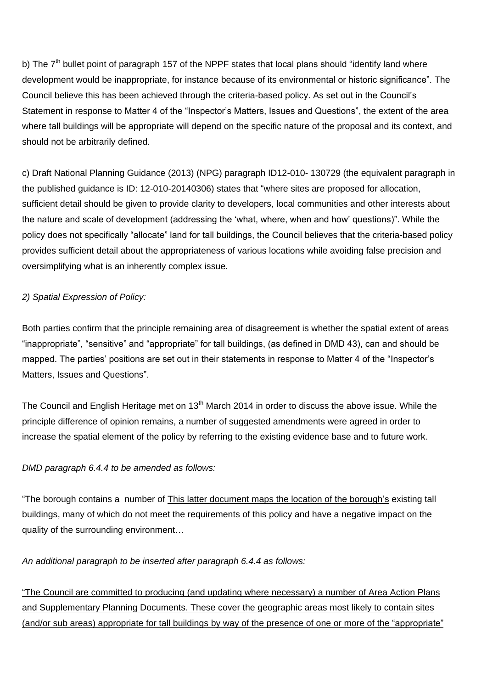b) The  $7<sup>th</sup>$  bullet point of paragraph 157 of the NPPF states that local plans should "identify land where development would be inappropriate, for instance because of its environmental or historic significance". The Council believe this has been achieved through the criteria-based policy. As set out in the Council's Statement in response to Matter 4 of the "Inspector's Matters, Issues and Questions", the extent of the area where tall buildings will be appropriate will depend on the specific nature of the proposal and its context, and should not be arbitrarily defined.

c) Draft National Planning Guidance (2013) (NPG) paragraph ID12-010- 130729 (the equivalent paragraph in the published guidance is ID: 12-010-20140306) states that "where sites are proposed for allocation, sufficient detail should be given to provide clarity to developers, local communities and other interests about the nature and scale of development (addressing the 'what, where, when and how' questions)". While the policy does not specifically "allocate" land for tall buildings, the Council believes that the criteria-based policy provides sufficient detail about the appropriateness of various locations while avoiding false precision and oversimplifying what is an inherently complex issue.

# *2) Spatial Expression of Policy:*

Both parties confirm that the principle remaining area of disagreement is whether the spatial extent of areas "inappropriate", "sensitive" and "appropriate" for tall buildings, (as defined in DMD 43), can and should be mapped. The parties' positions are set out in their statements in response to Matter 4 of the "Inspector's Matters, Issues and Questions".

The Council and English Heritage met on 13<sup>th</sup> March 2014 in order to discuss the above issue. While the principle difference of opinion remains, a number of suggested amendments were agreed in order to increase the spatial element of the policy by referring to the existing evidence base and to future work.

#### *DMD paragraph 6.4.4 to be amended as follows:*

"The borough contains a number of This latter document maps the location of the borough's existing tall buildings, many of which do not meet the requirements of this policy and have a negative impact on the quality of the surrounding environment…

#### *An additional paragraph to be inserted after paragraph 6.4.4 as follows:*

"The Council are committed to producing (and updating where necessary) a number of Area Action Plans and Supplementary Planning Documents. These cover the geographic areas most likely to contain sites (and/or sub areas) appropriate for tall buildings by way of the presence of one or more of the "appropriate"